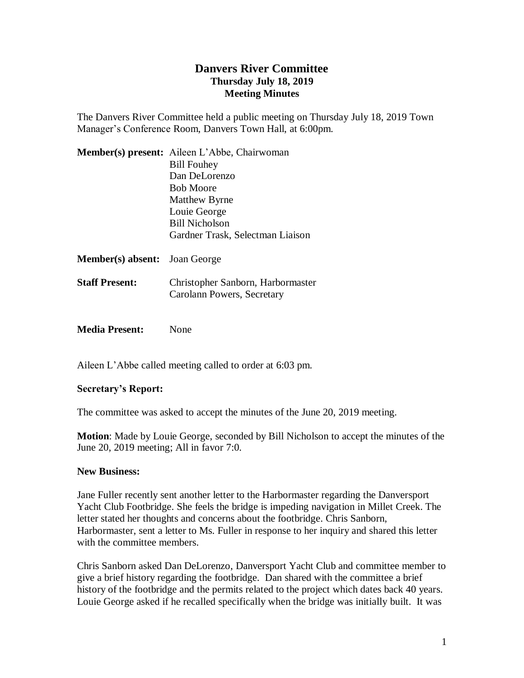## **Danvers River Committee Thursday July 18, 2019 Meeting Minutes**

The Danvers River Committee held a public meeting on Thursday July 18, 2019 Town Manager's Conference Room, Danvers Town Hall, at 6:00pm.

|                                      | Member(s) present: Aileen L'Abbe, Chairwoman                    |
|--------------------------------------|-----------------------------------------------------------------|
|                                      | <b>Bill Fouhey</b>                                              |
|                                      | Dan DeLorenzo                                                   |
|                                      | <b>Bob Moore</b>                                                |
|                                      | Matthew Byrne                                                   |
|                                      | Louie George                                                    |
|                                      | Bill Nicholson                                                  |
|                                      | Gardner Trask, Selectman Liaison                                |
| <b>Member(s) absent:</b> Joan George |                                                                 |
| <b>Staff Present:</b>                | Christopher Sanborn, Harbormaster<br>Carolann Powers, Secretary |
|                                      |                                                                 |

**Media Present:** None

Aileen L'Abbe called meeting called to order at 6:03 pm.

## **Secretary's Report:**

The committee was asked to accept the minutes of the June 20, 2019 meeting.

**Motion**: Made by Louie George, seconded by Bill Nicholson to accept the minutes of the June 20, 2019 meeting; All in favor 7:0.

## **New Business:**

Jane Fuller recently sent another letter to the Harbormaster regarding the Danversport Yacht Club Footbridge. She feels the bridge is impeding navigation in Millet Creek. The letter stated her thoughts and concerns about the footbridge. Chris Sanborn, Harbormaster, sent a letter to Ms. Fuller in response to her inquiry and shared this letter with the committee members.

Chris Sanborn asked Dan DeLorenzo, Danversport Yacht Club and committee member to give a brief history regarding the footbridge. Dan shared with the committee a brief history of the footbridge and the permits related to the project which dates back 40 years. Louie George asked if he recalled specifically when the bridge was initially built. It was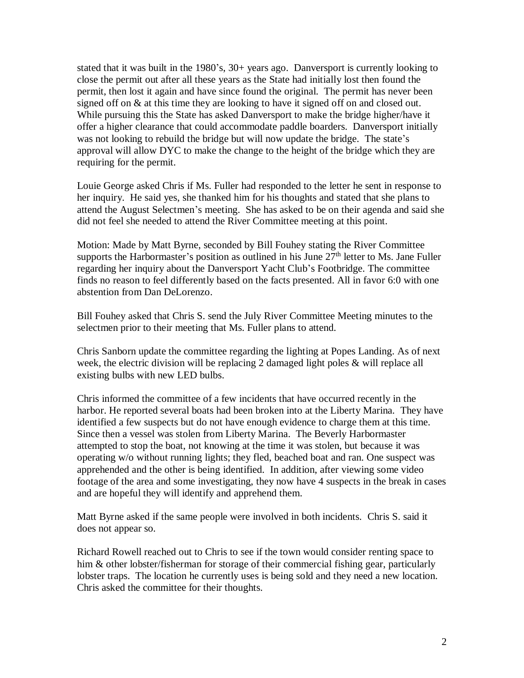stated that it was built in the 1980's, 30+ years ago. Danversport is currently looking to close the permit out after all these years as the State had initially lost then found the permit, then lost it again and have since found the original. The permit has never been signed off on & at this time they are looking to have it signed off on and closed out. While pursuing this the State has asked Danversport to make the bridge higher/have it offer a higher clearance that could accommodate paddle boarders. Danversport initially was not looking to rebuild the bridge but will now update the bridge. The state's approval will allow DYC to make the change to the height of the bridge which they are requiring for the permit.

Louie George asked Chris if Ms. Fuller had responded to the letter he sent in response to her inquiry. He said yes, she thanked him for his thoughts and stated that she plans to attend the August Selectmen's meeting. She has asked to be on their agenda and said she did not feel she needed to attend the River Committee meeting at this point.

Motion: Made by Matt Byrne, seconded by Bill Fouhey stating the River Committee supports the Harbormaster's position as outlined in his June  $27<sup>th</sup>$  letter to Ms. Jane Fuller regarding her inquiry about the Danversport Yacht Club's Footbridge. The committee finds no reason to feel differently based on the facts presented. All in favor 6:0 with one abstention from Dan DeLorenzo.

Bill Fouhey asked that Chris S. send the July River Committee Meeting minutes to the selectmen prior to their meeting that Ms. Fuller plans to attend.

Chris Sanborn update the committee regarding the lighting at Popes Landing. As of next week, the electric division will be replacing 2 damaged light poles & will replace all existing bulbs with new LED bulbs.

Chris informed the committee of a few incidents that have occurred recently in the harbor. He reported several boats had been broken into at the Liberty Marina. They have identified a few suspects but do not have enough evidence to charge them at this time. Since then a vessel was stolen from Liberty Marina. The Beverly Harbormaster attempted to stop the boat, not knowing at the time it was stolen, but because it was operating w/o without running lights; they fled, beached boat and ran. One suspect was apprehended and the other is being identified. In addition, after viewing some video footage of the area and some investigating, they now have 4 suspects in the break in cases and are hopeful they will identify and apprehend them.

Matt Byrne asked if the same people were involved in both incidents. Chris S. said it does not appear so.

Richard Rowell reached out to Chris to see if the town would consider renting space to him & other lobster/fisherman for storage of their commercial fishing gear, particularly lobster traps. The location he currently uses is being sold and they need a new location. Chris asked the committee for their thoughts.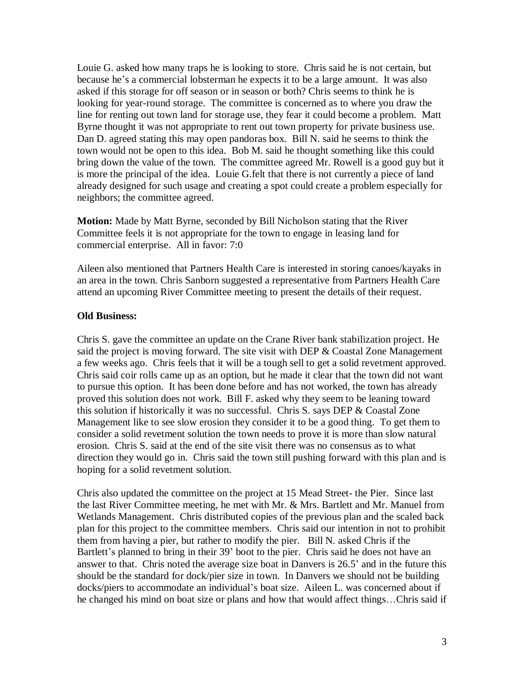Louie G. asked how many traps he is looking to store. Chris said he is not certain, but because he's a commercial lobsterman he expects it to be a large amount. It was also asked if this storage for off season or in season or both? Chris seems to think he is looking for year-round storage. The committee is concerned as to where you draw the line for renting out town land for storage use, they fear it could become a problem. Matt Byrne thought it was not appropriate to rent out town property for private business use. Dan D. agreed stating this may open pandoras box. Bill N. said he seems to think the town would not be open to this idea. Bob M. said he thought something like this could bring down the value of the town. The committee agreed Mr. Rowell is a good guy but it is more the principal of the idea. Louie G.felt that there is not currently a piece of land already designed for such usage and creating a spot could create a problem especially for neighbors; the committee agreed.

**Motion:** Made by Matt Byrne, seconded by Bill Nicholson stating that the River Committee feels it is not appropriate for the town to engage in leasing land for commercial enterprise. All in favor: 7:0

Aileen also mentioned that Partners Health Care is interested in storing canoes/kayaks in an area in the town. Chris Sanborn suggested a representative from Partners Health Care attend an upcoming River Committee meeting to present the details of their request.

## **Old Business:**

Chris S. gave the committee an update on the Crane River bank stabilization project. He said the project is moving forward. The site visit with DEP & Coastal Zone Management a few weeks ago. Chris feels that it will be a tough sell to get a solid revetment approved. Chris said coir rolls came up as an option, but he made it clear that the town did not want to pursue this option. It has been done before and has not worked, the town has already proved this solution does not work. Bill F. asked why they seem to be leaning toward this solution if historically it was no successful. Chris S. says DEP & Coastal Zone Management like to see slow erosion they consider it to be a good thing. To get them to consider a solid revetment solution the town needs to prove it is more than slow natural erosion. Chris S. said at the end of the site visit there was no consensus as to what direction they would go in. Chris said the town still pushing forward with this plan and is hoping for a solid revetment solution.

Chris also updated the committee on the project at 15 Mead Street- the Pier. Since last the last River Committee meeting, he met with Mr. & Mrs. Bartlett and Mr. Manuel from Wetlands Management. Chris distributed copies of the previous plan and the scaled back plan for this project to the committee members. Chris said our intention in not to prohibit them from having a pier, but rather to modify the pier. Bill N. asked Chris if the Bartlett's planned to bring in their 39' boot to the pier. Chris said he does not have an answer to that. Chris noted the average size boat in Danvers is 26.5' and in the future this should be the standard for dock/pier size in town. In Danvers we should not be building docks/piers to accommodate an individual's boat size. Aileen L. was concerned about if he changed his mind on boat size or plans and how that would affect things…Chris said if